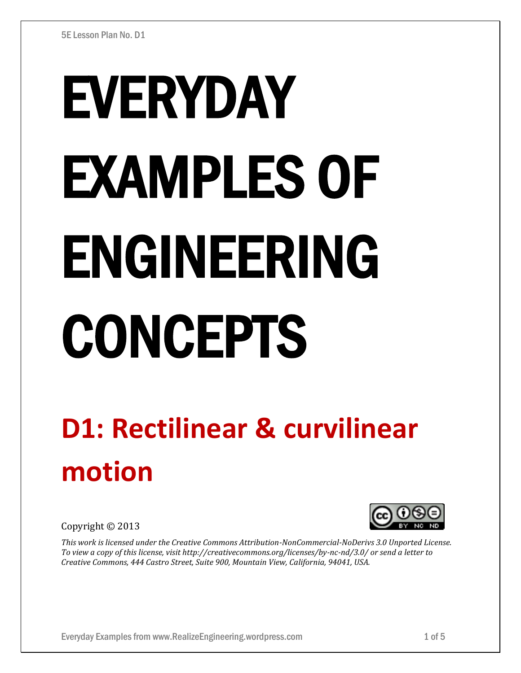# EVERYDAY EXAMPLES OF ENGINEERING CONCEPTS

# **D1: Rectilinear & curvilinear motion**

Copyright © 2013

*This work is licensed under the Creative Commons Attribution-NonCommercial-NoDerivs 3.0 Unported License. To view a copy of this license, visit http://creativecommons.org/licenses/by-nc-nd/3.0/ or send a letter to Creative Commons, 444 Castro Street, Suite 900, Mountain View, California, 94041, USA.*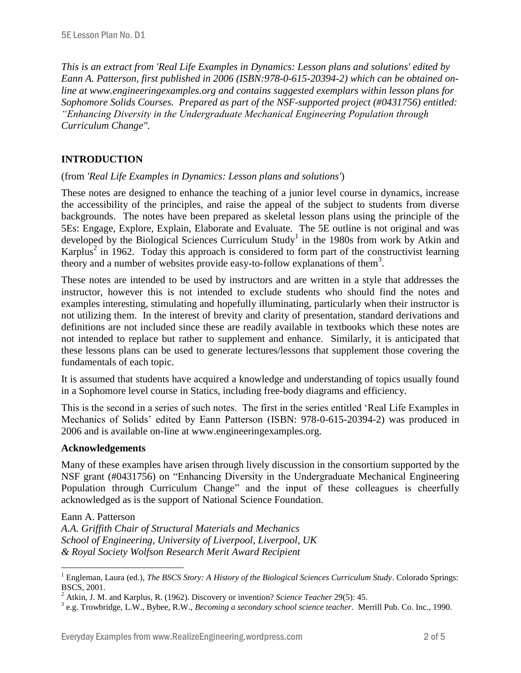*This is an extract from 'Real Life Examples in Dynamics: Lesson plans and solutions' edited by Eann A. Patterson, first published in 2006 (ISBN:978-0-615-20394-2) which can be obtained online at www.engineeringexamples.org and contains suggested exemplars within lesson plans for Sophomore Solids Courses. Prepared as part of the NSF-supported project (#0431756) entitled: "Enhancing Diversity in the Undergraduate Mechanical Engineering Population through Curriculum Change".* 

# **INTRODUCTION**

### (from *'Real Life Examples in Dynamics: Lesson plans and solutions'*)

These notes are designed to enhance the teaching of a junior level course in dynamics, increase the accessibility of the principles, and raise the appeal of the subject to students from diverse backgrounds. The notes have been prepared as skeletal lesson plans using the principle of the 5Es: Engage, Explore, Explain, Elaborate and Evaluate. The 5E outline is not original and was developed by the Biological Sciences Curriculum Study<sup>1</sup> in the 1980s from work by Atkin and Karplus<sup>2</sup> in 1962. Today this approach is considered to form part of the constructivist learning theory and a number of websites provide easy-to-follow explanations of them<sup>3</sup>.

These notes are intended to be used by instructors and are written in a style that addresses the instructor, however this is not intended to exclude students who should find the notes and examples interesting, stimulating and hopefully illuminating, particularly when their instructor is not utilizing them. In the interest of brevity and clarity of presentation, standard derivations and definitions are not included since these are readily available in textbooks which these notes are not intended to replace but rather to supplement and enhance. Similarly, it is anticipated that these lessons plans can be used to generate lectures/lessons that supplement those covering the fundamentals of each topic.

It is assumed that students have acquired a knowledge and understanding of topics usually found in a Sophomore level course in Statics, including free-body diagrams and efficiency.

This is the second in a series of such notes. The first in the series entitled 'Real Life Examples in Mechanics of Solids' edited by Eann Patterson (ISBN: 978-0-615-20394-2) was produced in 2006 and is available on-line at www.engineeringexamples.org.

### **Acknowledgements**

Many of these examples have arisen through lively discussion in the consortium supported by the NSF grant (#0431756) on "Enhancing Diversity in the Undergraduate Mechanical Engineering Population through Curriculum Change" and the input of these colleagues is cheerfully acknowledged as is the support of National Science Foundation.

Eann A. Patterson

 $\overline{a}$ 

*A.A. Griffith Chair of Structural Materials and Mechanics School of Engineering, University of Liverpool, Liverpool, UK & Royal Society Wolfson Research Merit Award Recipient*

<sup>&</sup>lt;sup>1</sup> Engleman, Laura (ed.), *The BSCS Story: A History of the Biological Sciences Curriculum Study*. Colorado Springs: BSCS, 2001.

<sup>2</sup> Atkin, J. M. and Karplus, R. (1962). Discovery or invention? *Science Teacher* 29(5): 45.

<sup>3</sup> e.g. Trowbridge, L.W., Bybee, R.W., *Becoming a secondary school science teacher*. Merrill Pub. Co. Inc., 1990.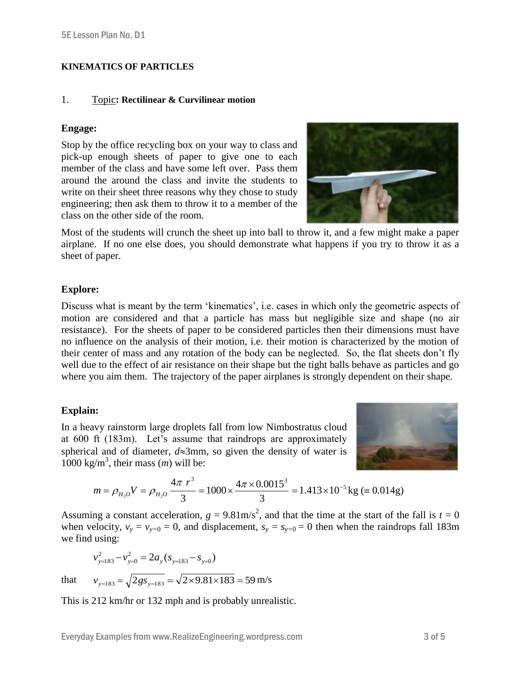### **KINEMATICS OF PARTICLES**

### 1. Topic**: Rectilinear & Curvilinear motion**

### **Engage:**

Stop by the office recycling box on your way to class and pick-up enough sheets of paper to give one to each member of the class and have some left over. Pass them around the around the class and invite the students to write on their sheet three reasons why they chose to study engineering; then ask them to throw it to a member of the class on the other side of the room.



Most of the students will crunch the sheet up into ball to throw it, and a few might make a paper airplane. If no one else does, you should demonstrate what happens if you try to throw it as a sheet of paper.

### **Explore:**

Discuss what is meant by the term 'kinematics', i.e. cases in which only the geometric aspects of motion are considered and that a particle has mass but negligible size and shape (no air resistance). For the sheets of paper to be considered particles then their dimensions must have no influence on the analysis of their motion, i.e. their motion is characterized by the motion of their center of mass and any rotation of the body can be neglected. So, the flat sheets don't fly well due to the effect of air resistance on their shape but the tight balls behave as particles and go where you aim them. The trajectory of the paper airplanes is strongly dependent on their shape.

### **Explain:**

In a heavy rainstorm large droplets fall from low Nimbostratus cloud at 600 ft (183m). Let's assume that raindrops are approximately spherical and of diameter,  $d \approx 3$ mm, so given the density of water is  $1000 \text{ kg/m}^3$ , their mass (*m*) will be:



$$
m = \rho_{H_2O} V = \rho_{H_2O} \frac{4\pi r^3}{3} = 1000 \times \frac{4\pi \times 0.0015^3}{3} = 1.413 \times 10^{-5} \,\text{kg} \ (\equiv 0.014 \,\text{g})
$$

Assuming a constant acceleration,  $g = 9.81 \text{m/s}^2$ , and that the time at the start of the fall is  $t = 0$ when velocity,  $v_y = v_{y=0} = 0$ , and displacement,  $s_y = s_{y=0} = 0$  then when the raindrops fall 183m we find using:

$$
v_{y=183}^2 - v_{y=0}^2 = 2a_y(s_{y=183} - s_{y=0})
$$

tha

$$
v_{y=183} = \sqrt{2gs_{y=183}} = \sqrt{2 \times 9.81 \times 183} = 59 \text{ m/s}
$$

This is 212 km/hr or 132 mph and is probably unrealistic.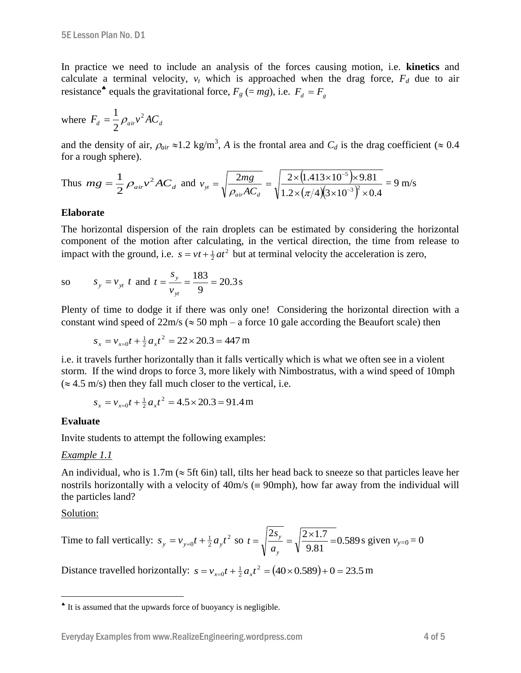In practice we need to include an analysis of the forces causing motion, i.e. **kinetics** and calculate a terminal velocity,  $v_t$  which is approached when the drag force,  $F_d$  due to air resistance<sup>\*</sup> equals the gravitational force,  $F_g$  (= *mg*), i.e.  $F_d = F_g$ 

where 
$$
F_d = \frac{1}{2} \rho_{air} v^2 A C_d
$$

and the density of air,  $\rho_{air} \approx 1.2 \text{ kg/m}^3$ , *A* is the frontal area and  $C_d$  is the drag coefficient ( $\approx 0.4$ ) for a rough sphere).

Thus 
$$
mg = \frac{1}{2} \rho_{air} v^2 A C_d
$$
 and  $v_{yt} = \sqrt{\frac{2mg}{\rho_{air}AC_d}} = \sqrt{\frac{2 \times (1.413 \times 10^{-5}) \times 9.81}{1.2 \times (\pi/4)(3 \times 10^{-3})^2 \times 0.4}} = 9 \text{ m/s}$ 

### **Elaborate**

The horizontal dispersion of the rain droplets can be estimated by considering the horizontal component of the motion after calculating, in the vertical direction, the time from release to impact with the ground, i.e.  $s = vt + \frac{1}{2}at^2$  $s = vt + \frac{1}{2}at^2$  but at terminal velocity the acceleration is zero,

so 
$$
s_y = v_{yt} t
$$
 and  $t = \frac{s_y}{v_{yt}} = \frac{183}{9} = 20.3 s$ 

Plenty of time to dodge it if there was only one! Considering the horizontal direction with a constant wind speed of  $22m/s \approx 50$  mph – a force 10 gale according the Beaufort scale) then

$$
s_x = v_{x=0}t + \frac{1}{2}a_x t^2 = 22 \times 20.3 = 447 \text{ m}
$$

i.e. it travels further horizontally than it falls vertically which is what we often see in a violent storm. If the wind drops to force 3, more likely with Nimbostratus, with a wind speed of 10mph  $(\approx 4.5 \text{ m/s})$  then they fall much closer to the vertical, i.e.

$$
s_x = v_{x=0}t + \frac{1}{2}a_x t^2 = 4.5 \times 20.3 = 91.4 \,\mathrm{m}
$$

### **Evaluate**

Invite students to attempt the following examples:

### *Example 1.1*

An individual, who is 1.7m ( $\approx$  5ft 6in) tall, tilts her head back to sneeze so that particles leave her nostrils horizontally with a velocity of  $40m/s$  (=  $90mph$ ), how far away from the individual will the particles land?

### Solution:

 $\overline{a}$ 

Time to fall vertically: 
$$
s_y = v_{y=0}t + \frac{1}{2}a_yt^2
$$
 so  $t = \sqrt{\frac{2s_y}{a_y}} = \sqrt{\frac{2 \times 1.7}{9.81}} = 0.589$  s given  $v_{y=0} = 0$ 

Distance travelled horizontally:  $s = v_{x=0}t + \frac{1}{2} a_x t^2 = (40 \times 0.589) + 0 = 23.5$  $s = v_{x=0}t + \frac{1}{2}a_xt^2 = (40 \times 0.589) + 0 = 23.5 \text{ m}$ 

It is assumed that the upwards force of buoyancy is negligible.